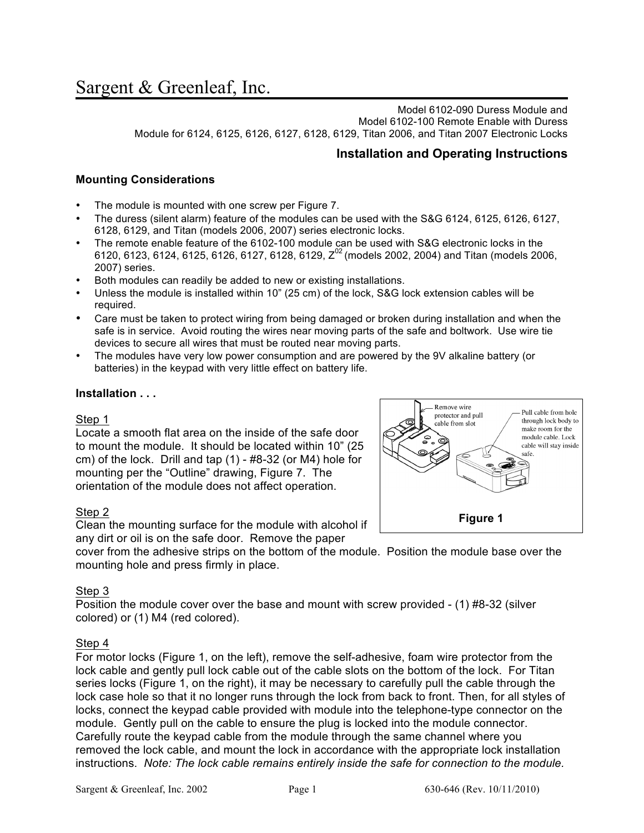Model 6102-090 Duress Module and Model 6102-100 Remote Enable with Duress Module for 6124, 6125, 6126, 6127, 6128, 6129, Titan 2006, and Titan 2007 Electronic Locks

# **Installation and Operating Instructions**

# **Mounting Considerations**

- The module is mounted with one screw per Figure 7.
- The duress (silent alarm) feature of the modules can be used with the S&G 6124, 6125, 6126, 6127, 6128, 6129, and Titan (models 2006, 2007) series electronic locks.
- The remote enable feature of the 6102-100 module can be used with S&G electronic locks in the 6120, 6123, 6124, 6125, 6126, 6127, 6128, 6129,  $Z^{02}$  (models 2002, 2004) and Titan (models 2006, 2007) series.
- Both modules can readily be added to new or existing installations.
- Unless the module is installed within 10" (25 cm) of the lock, S&G lock extension cables will be required.
- Care must be taken to protect wiring from being damaged or broken during installation and when the safe is in service. Avoid routing the wires near moving parts of the safe and boltwork. Use wire tie devices to secure all wires that must be routed near moving parts.
- The modules have very low power consumption and are powered by the 9V alkaline battery (or batteries) in the keypad with very little effect on battery life.

## **Installation . . .**

#### Step 1

Locate a smooth flat area on the inside of the safe door to mount the module. It should be located within 10" (25 cm) of the lock. Drill and tap (1) - #8-32 (or M4) hole for mounting per the "Outline" drawing, Figure 7. The orientation of the module does not affect operation.



## Step 2

Clean the mounting surface for the module with alcohol if any dirt or oil is on the safe door. Remove the paper

cover from the adhesive strips on the bottom of the module. Position the module base over the mounting hole and press firmly in place.

## Step 3

Position the module cover over the base and mount with screw provided - (1) #8-32 (silver colored) or (1) M4 (red colored).

#### Step 4

For motor locks (Figure 1, on the left), remove the self-adhesive, foam wire protector from the lock cable and gently pull lock cable out of the cable slots on the bottom of the lock. For Titan series locks (Figure 1, on the right), it may be necessary to carefully pull the cable through the lock case hole so that it no longer runs through the lock from back to front. Then, for all styles of locks, connect the keypad cable provided with module into the telephone-type connector on the module. Gently pull on the cable to ensure the plug is locked into the module connector. Carefully route the keypad cable from the module through the same channel where you removed the lock cable, and mount the lock in accordance with the appropriate lock installation instructions. *Note: The lock cable remains entirely inside the safe for connection to the module.*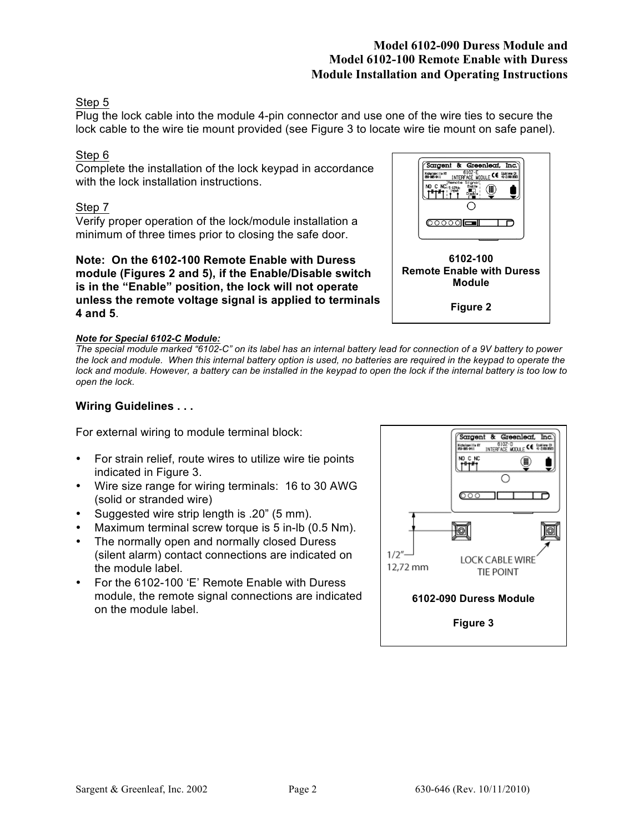# **Model 6102-090 Duress Module and Model 6102-100 Remote Enable with Duress Module Installation and Operating Instructions**

# Step 5

Plug the lock cable into the module 4-pin connector and use one of the wire ties to secure the lock cable to the wire tie mount provided (see Figure 3 to locate wire tie mount on safe panel).

# Step 6

Complete the installation of the lock keypad in accordance with the lock installation instructions.

# Step 7

Verify proper operation of the lock/module installation a minimum of three times prior to closing the safe door.

**Note: On the 6102-100 Remote Enable with Duress module (Figures 2 and 5), if the Enable/Disable switch is in the "Enable" position, the lock will not operate unless the remote voltage signal is applied to terminals 4 and 5**.

# : NCi<sub>5-12Vo</sub> Engole<br>"ff"| in "property"|<br>"ff"| Pis<mark>ebl</mark>e;  $\in$  (iii)  $\circ$   $\circ$   $\circ$   $\circ$ **6102-100 Remote Enable with Duress Module Figure 2**

Sargent & Greenleaf, Inc. Widelesville KY<br>
Michalawille KY<br>
BROWN THERFACE MODULE CE 41-21801993<br>
Remote Signal;<br>
Remote Signal;

#### *Note for Special 6102-C Module:*

*The special module marked "6102-C" on its label has an internal battery lead for connection of a 9V battery to power the lock and module. When this internal battery option is used, no batteries are required in the keypad to operate the lock and module. However, a battery can be installed in the keypad to open the lock if the internal battery is too low to open the lock.*

## **Wiring Guidelines . . .**

For external wiring to module terminal block:

- For strain relief, route wires to utilize wire tie points indicated in Figure 3.
- Wire size range for wiring terminals: 16 to 30 AWG (solid or stranded wire)
- Suggested wire strip length is .20" (5 mm).
- Maximum terminal screw torque is 5 in-lb (0.5 Nm).
- The normally open and normally closed Duress (silent alarm) contact connections are indicated on the module label.
- For the 6102-100 'E' Remote Enable with Duress module, the remote signal connections are indicated on the module label.

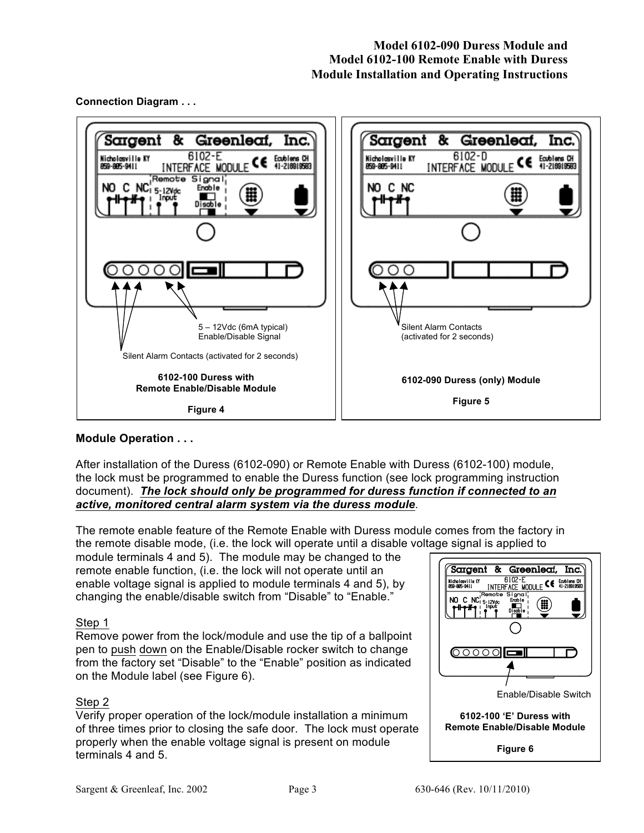



## **Module Operation . . .**

After installation of the Duress (6102-090) or Remote Enable with Duress (6102-100) module, the lock must be programmed to enable the Duress function (see lock programming instruction document). *The lock should only be programmed for duress function if connected to an active, monitored central alarm system via the duress module*.

The remote enable feature of the Remote Enable with Duress module comes from the factory in the remote disable mode, (i.e. the lock will operate until a disable voltage signal is applied to

module terminals 4 and 5). The module may be changed to the remote enable function, (i.e. the lock will not operate until an enable voltage signal is applied to module terminals 4 and 5), by changing the enable/disable switch from "Disable" to "Enable."

## Step 1

Remove power from the lock/module and use the tip of a ballpoint pen to push down on the Enable/Disable rocker switch to change from the factory set "Disable" to the "Enable" position as indicated on the Module label (see Figure 6).

## Step 2

Verify proper operation of the lock/module installation a minimum of three times prior to closing the safe door. The lock must operate properly when the enable voltage signal is present on module terminals 4 and 5.